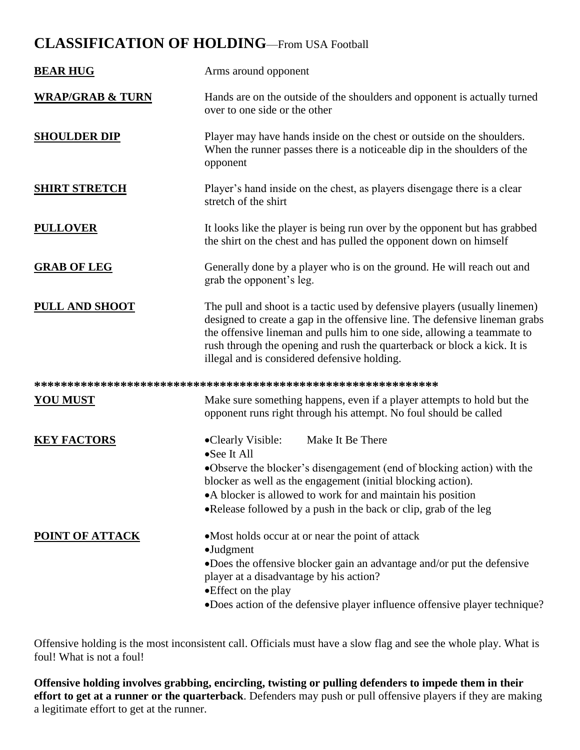## **CLASSIFICATION OF HOLDING**—From USA Football

| <b>BEAR HUG</b>             | Arms around opponent                                                                                                                                                                                                                                                                                                                                             |
|-----------------------------|------------------------------------------------------------------------------------------------------------------------------------------------------------------------------------------------------------------------------------------------------------------------------------------------------------------------------------------------------------------|
| <b>WRAP/GRAB &amp; TURN</b> | Hands are on the outside of the shoulders and opponent is actually turned<br>over to one side or the other                                                                                                                                                                                                                                                       |
| <b>SHOULDER DIP</b>         | Player may have hands inside on the chest or outside on the shoulders.<br>When the runner passes there is a noticeable dip in the shoulders of the<br>opponent                                                                                                                                                                                                   |
| <b>SHIRT STRETCH</b>        | Player's hand inside on the chest, as players disengage there is a clear<br>stretch of the shirt                                                                                                                                                                                                                                                                 |
| <b>PULLOVER</b>             | It looks like the player is being run over by the opponent but has grabbed<br>the shirt on the chest and has pulled the opponent down on himself                                                                                                                                                                                                                 |
| <b>GRAB OF LEG</b>          | Generally done by a player who is on the ground. He will reach out and<br>grab the opponent's leg.                                                                                                                                                                                                                                                               |
| <b>PULL AND SHOOT</b>       | The pull and shoot is a tactic used by defensive players (usually linemen)<br>designed to create a gap in the offensive line. The defensive lineman grabs<br>the offensive lineman and pulls him to one side, allowing a teammate to<br>rush through the opening and rush the quarterback or block a kick. It is<br>illegal and is considered defensive holding. |
|                             |                                                                                                                                                                                                                                                                                                                                                                  |
| <u>YOU MUST</u>             | Make sure something happens, even if a player attempts to hold but the<br>opponent runs right through his attempt. No foul should be called                                                                                                                                                                                                                      |
| <b>KEY FACTORS</b>          | Make It Be There<br>•Clearly Visible:<br>•See It All<br>•Observe the blocker's disengagement (end of blocking action) with the<br>blocker as well as the engagement (initial blocking action).<br>• A blocker is allowed to work for and maintain his position<br>.Release followed by a push in the back or clip, grab of the leg                               |
| POINT OF ATTACK             | • Most holds occur at or near the point of attack<br>$\bullet$ Judgment<br>•Does the offensive blocker gain an advantage and/or put the defensive<br>player at a disadvantage by his action?<br>• Effect on the play<br>•Does action of the defensive player influence offensive player technique?                                                               |

Offensive holding is the most inconsistent call. Officials must have a slow flag and see the whole play. What is foul! What is not a foul!

**Offensive holding involves grabbing, encircling, twisting or pulling defenders to impede them in their effort to get at a runner or the quarterback**. Defenders may push or pull offensive players if they are making a legitimate effort to get at the runner.